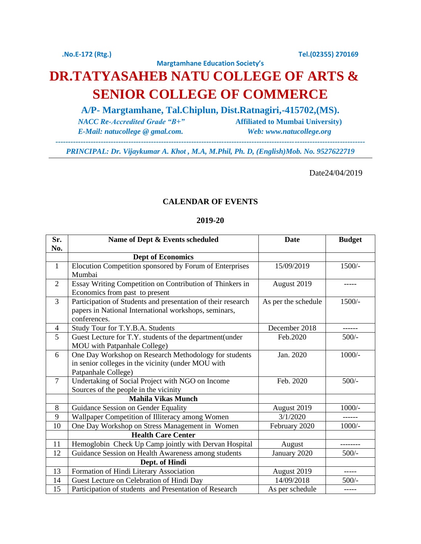## **DR.TATYASAHEB NATU COLLEGE OF ARTS & SENIOR COLLEGE OF COMMERCE**

**A/P- Margtamhane, Tal.Chiplun, Dist.Ratnagiri,-415702,(MS).**

**Margtamhane Education Society's**

 *E-Mail: natucollege @ gmal.com. Web: www.natucollege.org*

 *NACC Re-Accredited Grade "B+"* **Affiliated to Mumbai University)**

*PRINCIPAL: Dr. Vijaykumar A. Khot , M.A, M.Phil, Ph. D, (English)Mob. No. 9527622719* 

*---------------------------------------------------------------------------------------------------------------------------*

Date24/04/2019

## **CALENDAR OF EVENTS**

## **2019-20**

| Sr.            | Name of Dept & Events scheduled                                                                                                       | <b>Date</b>         | <b>Budget</b> |
|----------------|---------------------------------------------------------------------------------------------------------------------------------------|---------------------|---------------|
| No.            |                                                                                                                                       |                     |               |
|                | <b>Dept of Economics</b>                                                                                                              |                     |               |
| $\mathbf{1}$   | Elocution Competition sponsored by Forum of Enterprises<br>Mumbai                                                                     | 15/09/2019          | $1500/-$      |
| $\overline{2}$ | Essay Writing Competition on Contribution of Thinkers in<br>Economics from past to present                                            | August 2019         | -----         |
| $\overline{3}$ | Participation of Students and presentation of their research<br>papers in National International workshops, seminars,<br>conferences. | As per the schedule | $1500/-$      |
| 4              | Study Tour for T.Y.B.A. Students                                                                                                      | December 2018       | ------        |
| 5              | Guest Lecture for T.Y. students of the department(under<br>MOU with Patpanhale College)                                               | Feb.2020            | $500/-$       |
| 6              | One Day Workshop on Research Methodology for students<br>in senior colleges in the vicinity (under MOU with<br>Patpanhale College)    | Jan. 2020           | $1000/-$      |
| $\overline{7}$ | Undertaking of Social Project with NGO on Income<br>Sources of the people in the vicinity                                             | Feb. 2020           | $500/-$       |
|                | <b>Mahila Vikas Munch</b>                                                                                                             |                     |               |
| 8              | Guidance Session on Gender Equality                                                                                                   | August 2019         | $1000/-$      |
| 9              | Wallpaper Competition of Illiteracy among Women                                                                                       | 3/1/2020            |               |
| 10             | One Day Workshop on Stress Management in Women                                                                                        | February 2020       | $1000/-$      |
|                | <b>Health Care Center</b>                                                                                                             |                     |               |
| 11             | Hemoglobin Check Up Camp jointly with Dervan Hospital                                                                                 | August              | --------      |
| 12             | Guidance Session on Health Awareness among students                                                                                   | January 2020        | $500/-$       |
|                | Dept. of Hindi                                                                                                                        |                     |               |
| 13             | Formation of Hindi Literary Association                                                                                               | August 2019         | -----         |
| 14             | Guest Lecture on Celebration of Hindi Day                                                                                             | 14/09/2018          | $500/-$       |
| 15             | Participation of students and Presentation of Research                                                                                | As per schedule     |               |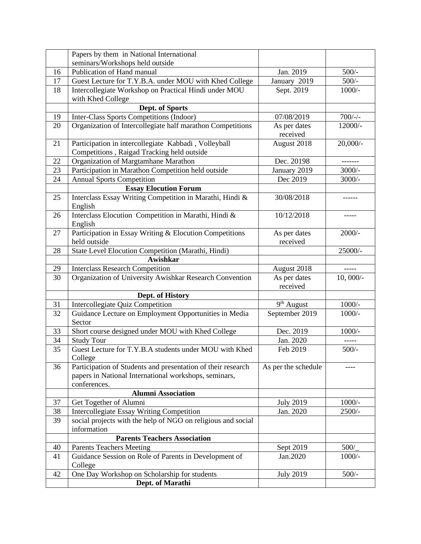|    | Papers by them in National International                                                                                              |                          |             |
|----|---------------------------------------------------------------------------------------------------------------------------------------|--------------------------|-------------|
|    | seminars/Workshops held outside                                                                                                       |                          |             |
| 16 | Publication of Hand manual                                                                                                            | Jan. 2019                | $500/-$     |
| 17 | Guest Lecture for T.Y.B.A. under MOU with Khed College                                                                                | January 2019             | $500/-$     |
| 18 | Intercollegiate Workshop on Practical Hindi under MOU<br>with Khed College                                                            | Sept. 2019               | $1000/-$    |
|    | Dept. of Sports                                                                                                                       |                          |             |
| 19 | Inter-Class Sports Competitions (Indoor)                                                                                              | 07/08/2019               | $700/-$     |
| 20 | Organization of Intercollegiate half marathon Competitions                                                                            | As per dates<br>received | 12000/-     |
| 21 | Participation in intercollegiate Kabbadi, Volleyball                                                                                  | August 2018              | $20,000/$ - |
|    | Competitions, Raigad Tracking held outside                                                                                            |                          |             |
| 22 | Organization of Margtamhane Marathon                                                                                                  | Dec. 20198               | -------     |
| 23 | Participation in Marathon Competition held outside                                                                                    | January 2019             | $3000/-$    |
| 24 | <b>Annual Sports Competition</b>                                                                                                      | Dec 2019                 | $3000/-$    |
|    | <b>Essay Elocution Forum</b>                                                                                                          |                          |             |
| 25 | Interclass Essay Writing Competition in Marathi, Hindi &<br>English                                                                   | 30/08/2018               |             |
| 26 | Interclass Elocution Competition in Marathi, Hindi &<br>English                                                                       | 10/12/2018               | -----       |
| 27 | Participation in Essay Writing & Elocution Competitions<br>held outside                                                               | As per dates<br>received | $2000/-$    |
| 28 | State Level Elocution Competition (Marathi, Hindi)                                                                                    |                          | 25000/-     |
|    | Awishkar                                                                                                                              |                          |             |
| 29 | <b>Interclass Research Competition</b>                                                                                                | August 2018              | -----       |
| 30 | Organization of University Awishkar Research Convention                                                                               | As per dates<br>received | $10,000/-$  |
|    | Dept. of History                                                                                                                      |                          |             |
| 31 | Intercollegiate Quiz Competition                                                                                                      | 9 <sup>th</sup> August   | $1000/-$    |
| 32 | Guidance Lecture on Employment Opportunities in Media<br>Sector                                                                       | September 2019           | $1000/-$    |
| 33 | Short course designed under MOU with Khed College                                                                                     | Dec. 2019                | $1000/-$    |
| 34 | <b>Study Tour</b>                                                                                                                     | Jan. 2020                |             |
| 35 | Guest Lecture for T.Y.B.A students under MOU with Khed<br>College                                                                     | Feb 2019                 | $500/-$     |
| 36 | Participation of Students and presentation of their research<br>papers in National International workshops, seminars,<br>conferences. | As per the schedule      |             |
|    | <b>Alumni Association</b>                                                                                                             |                          |             |
| 37 | Get Together of Alumni                                                                                                                | <b>July 2019</b>         | $1000/-$    |
| 38 | <b>Intercollegiate Essay Writing Competition</b>                                                                                      | Jan. 2020                | 2500/-      |
| 39 | social projects with the help of NGO on religious and social<br>information                                                           |                          |             |
|    | <b>Parents Teachers Association</b>                                                                                                   |                          |             |
| 40 | <b>Parents Teachers Meeting</b>                                                                                                       | Sept 2019                | 500/        |
| 41 | Guidance Session on Role of Parents in Development of<br>College                                                                      | Jan.2020                 | $1000/-$    |
| 42 | One Day Workshop on Scholarship for students                                                                                          | <b>July 2019</b>         | $500/-$     |
|    | Dept. of Marathi                                                                                                                      |                          |             |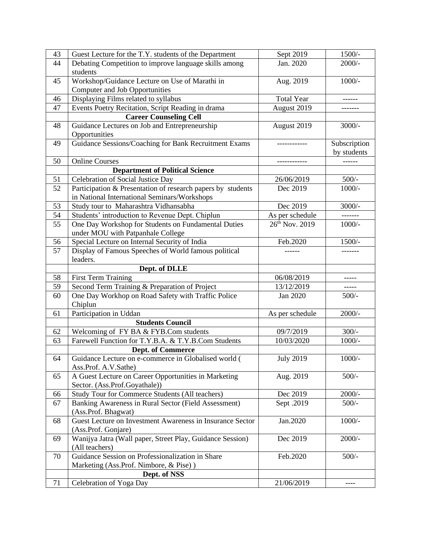| 43 | Guest Lecture for the T.Y. students of the Department       | Sept 2019         | $1500/-$     |
|----|-------------------------------------------------------------|-------------------|--------------|
| 44 | Debating Competition to improve language skills among       | Jan. 2020         | $2000/-$     |
|    | students                                                    |                   |              |
| 45 | Workshop/Guidance Lecture on Use of Marathi in              | Aug. 2019         | $1000/-$     |
|    | <b>Computer and Job Opportunities</b>                       |                   |              |
| 46 | Displaying Films related to syllabus                        | <b>Total Year</b> |              |
| 47 | Events Poetry Recitation, Script Reading in drama           | August 2019       |              |
|    | <b>Career Counseling Cell</b>                               |                   |              |
| 48 | Guidance Lectures on Job and Entrepreneurship               | August 2019       | $3000/-$     |
|    | Opportunities                                               |                   |              |
| 49 | Guidance Sessions/Coaching for Bank Recruitment Exams       |                   | Subscription |
|    |                                                             |                   | by students  |
| 50 | <b>Online Courses</b>                                       |                   | ------       |
|    | <b>Department of Political Science</b>                      |                   |              |
| 51 | Celebration of Social Justice Day                           | 26/06/2019        | $500/-$      |
| 52 | Participation & Presentation of research papers by students | Dec 2019          | $1000/-$     |
|    | in National International Seminars/Workshops                |                   |              |
| 53 | Study tour to Maharashtra Vidhansabha                       | Dec 2019          | $3000/-$     |
| 54 | Students' introduction to Revenue Dept. Chiplun             | As per schedule   |              |
| 55 | One Day Workshop for Students on Fundamental Duties         | 26th Nov. 2019    | $1000/-$     |
|    | under MOU with Patpanhale College                           |                   |              |
| 56 | Special Lecture on Internal Security of India               | Feb.2020          | $1500/-$     |
| 57 | Display of Famous Speeches of World famous political        |                   |              |
|    | leaders.                                                    |                   |              |
|    | Dept. of DLLE                                               |                   |              |
| 58 | <b>First Term Training</b>                                  | 06/08/2019        |              |
| 59 | Second Term Training & Preparation of Project               | 13/12/2019        | -----        |
| 60 | One Day Workhop on Road Safety with Traffic Police          | Jan 2020          | $500/-$      |
|    | Chiplun                                                     |                   |              |
| 61 | Participation in Uddan                                      | As per schedule   | $2000/-$     |
|    | <b>Students Council</b>                                     |                   |              |
| 62 | Welcoming of FY BA & FYB.Com students                       | 09/7/2019         | $300/-$      |
| 63 | Farewell Function for T.Y.B.A. & T.Y.B.Com Students         | 10/03/2020        | $1000/-$     |
|    | <b>Dept. of Commerce</b>                                    |                   |              |
| 64 | Guidance Lecture on e-commerce in Globalised world (        | <b>July 2019</b>  | $1000/-$     |
|    | Ass.Prof. A.V.Sathe)                                        |                   |              |
| 65 | A Guest Lecture on Career Opportunities in Marketing        | Aug. 2019         | $500/-$      |
|    | Sector. (Ass.Prof.Goyathale))                               |                   |              |
| 66 | Study Tour for Commerce Students (All teachers)             | Dec 2019          | $2000/-$     |
| 67 | Banking Awareness in Rural Sector (Field Assessment)        | Sept. 2019        | $500/-$      |
|    | (Ass.Prof. Bhagwat)                                         |                   |              |
| 68 | Guest Lecture on Investment Awareness in Insurance Sector   | Jan.2020          | $1000/-$     |
|    | (Ass.Prof. Gonjare)                                         |                   |              |
| 69 | Wanijya Jatra (Wall paper, Street Play, Guidance Session)   | Dec 2019          | $2000/-$     |
|    | (All teachers)                                              |                   |              |
| 70 | Guidance Session on Professionalization in Share            | Feb.2020          | $500/-$      |
|    | Marketing (Ass.Prof. Nimbore, & Pise))                      |                   |              |
|    | Dept. of NSS                                                |                   |              |
| 71 | Celebration of Yoga Day                                     | 21/06/2019        | ----         |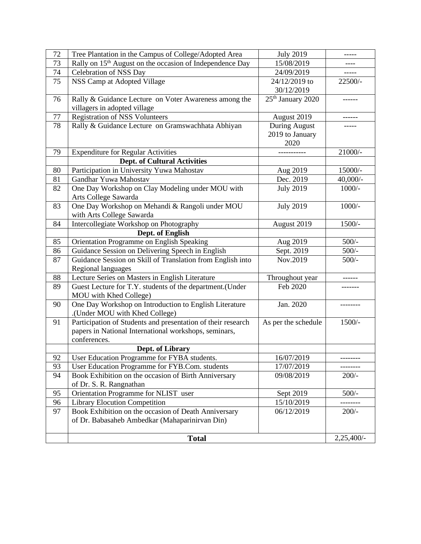| 72 | Tree Plantation in the Campus of College/Adopted Area                | <b>July 2019</b>              | -----       |
|----|----------------------------------------------------------------------|-------------------------------|-------------|
| 73 | Rally on 15 <sup>th</sup> August on the occasion of Independence Day | 15/08/2019                    |             |
| 74 | Celebration of NSS Day                                               | 24/09/2019                    |             |
| 75 | NSS Camp at Adopted Village                                          | 24/12/2019 to                 | 22500/-     |
|    |                                                                      | 30/12/2019                    |             |
| 76 | Rally & Guidance Lecture on Voter Awareness among the                | 25 <sup>th</sup> January 2020 | ------      |
|    | villagers in adopted village                                         |                               |             |
| 77 | <b>Registration of NSS Volunteers</b>                                | August 2019                   |             |
| 78 | Rally & Guidance Lecture on Gramswachhata Abhiyan                    | <b>During August</b>          |             |
|    |                                                                      | 2019 to January               |             |
|    |                                                                      | 2020                          |             |
| 79 | <b>Expenditure for Regular Activities</b>                            |                               | 21000/-     |
|    | <b>Dept. of Cultural Activities</b>                                  |                               |             |
| 80 | Participation in University Yuwa Mahostav                            | Aug 2019                      | 15000/-     |
| 81 | Gandhar Yuwa Mahostav                                                | Dec. 2019                     | $40,000/$ - |
| 82 | One Day Workshop on Clay Modeling under MOU with                     | <b>July 2019</b>              | $1000/-$    |
|    | Arts College Sawarda                                                 |                               |             |
| 83 | One Day Workshop on Mehandi & Rangoli under MOU                      | <b>July 2019</b>              | $1000/-$    |
|    | with Arts College Sawarda                                            |                               |             |
| 84 | Intercollegiate Workshop on Photography                              | August 2019                   | $1500/-$    |
|    | Dept. of English                                                     |                               |             |
| 85 | Orientation Programme on English Speaking                            | Aug 2019                      | $500/-$     |
| 86 | Guidance Session on Delivering Speech in English                     | Sept. 2019                    | $500/-$     |
| 87 | Guidance Session on Skill of Translation from English into           | Nov.2019                      | $500/-$     |
|    | Regional languages                                                   |                               |             |
| 88 | Lecture Series on Masters in English Literature                      | Throughout year               |             |
| 89 | Guest Lecture for T.Y. students of the department.(Under             | Feb 2020                      |             |
|    | MOU with Khed College)                                               |                               |             |
| 90 | One Day Workshop on Introduction to English Literature               | Jan. 2020                     |             |
|    | (Under MOU with Khed College).                                       |                               |             |
| 91 | Participation of Students and presentation of their research         | As per the schedule           | $1500/-$    |
|    | papers in National International workshops, seminars,                |                               |             |
|    | conferences.                                                         |                               |             |
|    | Dept. of Library                                                     |                               |             |
| 92 | User Education Programme for FYBA students.                          | 16/07/2019                    |             |
| 93 | User Education Programme for FYB.Com. students                       | 17/07/2019                    | ---------   |
| 94 | Book Exhibition on the occasion of Birth Anniversary                 | 09/08/2019                    | $200/-$     |
|    | of Dr. S. R. Rangnathan                                              |                               |             |
| 95 | Orientation Programme for NLIST user                                 | Sept 2019                     | $500/-$     |
| 96 | <b>Library Elocution Competition</b>                                 | 15/10/2019                    |             |
| 97 | Book Exhibition on the occasion of Death Anniversary                 | 06/12/2019                    | $200/-$     |
|    | of Dr. Babasaheb Ambedkar (Mahaparinirvan Din)                       |                               |             |
|    |                                                                      |                               | 2,25,400/-  |
|    | <b>Total</b>                                                         |                               |             |